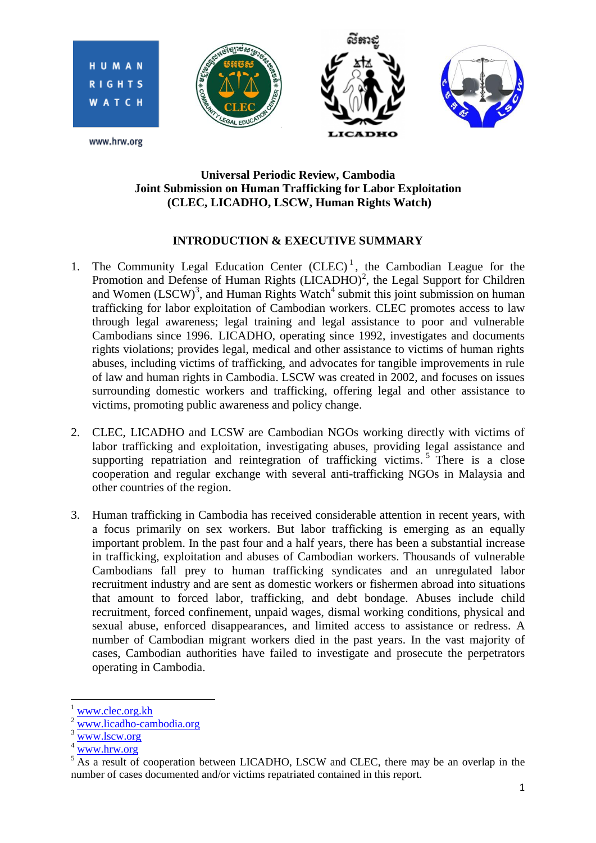

## **Universal Periodic Review, Cambodia Joint Submission on Human Trafficking for Labor Exploitation (CLEC, LICADHO, LSCW, Human Rights Watch)**

# **INTRODUCTION & EXECUTIVE SUMMARY**

- 1. The Community Legal Education Center  $(CLEC)^1$ , the Cambodian League for the Promotion and Defense of Human Rights  $(LICADHO)^2$ , the Legal Support for Children and Women  $(LSCW)^3$ , and Human Rights Watch<sup>4</sup> submit this joint submission on human trafficking for labor exploitation of Cambodian workers. CLEC promotes access to law through legal awareness; legal training and legal assistance to poor and vulnerable Cambodians since 1996. LICADHO, operating since 1992, investigates and documents rights violations; provides legal, medical and other assistance to victims of human rights abuses, including victims of trafficking, and advocates for tangible improvements in rule of law and human rights in Cambodia. LSCW was created in 2002, and focuses on issues surrounding domestic workers and trafficking, offering legal and other assistance to victims, promoting public awareness and policy change.
- 2. CLEC, LICADHO and LCSW are Cambodian NGOs working directly with victims of labor trafficking and exploitation, investigating abuses, providing legal assistance and supporting repatriation and reintegration of trafficking victims.<sup>5</sup> There is a close cooperation and regular exchange with several anti-trafficking NGOs in Malaysia and other countries of the region.
- 3. Human trafficking in Cambodia has received considerable attention in recent years, with a focus primarily on sex workers. But labor trafficking is emerging as an equally important problem. In the past four and a half years, there has been a substantial increase in trafficking, exploitation and abuses of Cambodian workers. Thousands of vulnerable Cambodians fall prey to human trafficking syndicates and an unregulated labor recruitment industry and are sent as domestic workers or fishermen abroad into situations that amount to forced labor, trafficking, and debt bondage. Abuses include child recruitment, forced confinement, unpaid wages, dismal working conditions, physical and sexual abuse, enforced disappearances, and limited access to assistance or redress. A number of Cambodian migrant workers died in the past years. In the vast majority of cases, Cambodian authorities have failed to investigate and prosecute the perpetrators operating in Cambodia.

1

[www.clec.org.kh](http://www.clec.org.kh/)

[www.licadho-cambodia.org](http://www.licadho-cambodia.org/)

[www.lscw.org](http://www.lscw.org/)

[www.hrw.org](http://www.hrw.org/)

<sup>&</sup>lt;sup>5</sup> As a result of cooperation between LICADHO, LSCW and CLEC, there may be an overlap in the number of cases documented and/or victims repatriated contained in this report.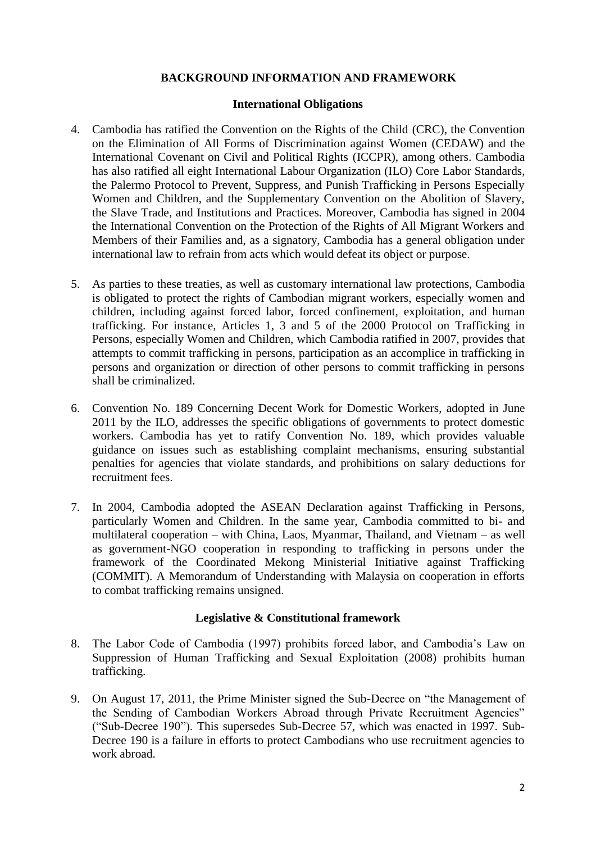# **BACKGROUND INFORMATION AND FRAMEWORK**

#### **International Obligations**

- 4. Cambodia has ratified the Convention on the Rights of the Child (CRC), the Convention on the Elimination of All Forms of Discrimination against Women (CEDAW) and the International Covenant on Civil and Political Rights (ICCPR), among others. Cambodia has also ratified all eight International Labour Organization (ILO) Core Labor Standards, the Palermo Protocol to Prevent, Suppress, and Punish Trafficking in Persons Especially Women and Children, and the Supplementary Convention on the Abolition of Slavery, the Slave Trade, and Institutions and Practices. Moreover, Cambodia has signed in 2004 the International Convention on the Protection of the Rights of All Migrant Workers and Members of their Families and, as a signatory, Cambodia has a general obligation under international law to refrain from acts which would defeat its object or purpose.
- 5. As parties to these treaties, as well as customary international law protections, Cambodia is obligated to protect the rights of Cambodian migrant workers, especially women and children, including against forced labor, forced confinement, exploitation, and human trafficking. For instance, Articles 1, 3 and 5 of the 2000 Protocol on Trafficking in Persons, especially Women and Children, which Cambodia ratified in 2007, provides that attempts to commit trafficking in persons, participation as an accomplice in trafficking in persons and organization or direction of other persons to commit trafficking in persons shall be criminalized.
- 6. Convention No. 189 Concerning Decent Work for Domestic Workers, adopted in June 2011 by the ILO, addresses the specific obligations of governments to protect domestic workers. Cambodia has yet to ratify Convention No. 189, which provides valuable guidance on issues such as establishing complaint mechanisms, ensuring substantial penalties for agencies that violate standards, and prohibitions on salary deductions for recruitment fees.
- 7. In 2004, Cambodia adopted the ASEAN Declaration against Trafficking in Persons, particularly Women and Children. In the same year, Cambodia committed to bi- and multilateral cooperation – with China, Laos, Myanmar, Thailand, and Vietnam – as well as government-NGO cooperation in responding to trafficking in persons under the framework of the Coordinated Mekong Ministerial Initiative against Trafficking (COMMIT). A Memorandum of Understanding with Malaysia on cooperation in efforts to combat trafficking remains unsigned.

### **Legislative & Constitutional framework**

- 8. The Labor Code of Cambodia (1997) prohibits forced labor, and Cambodia's Law on Suppression of Human Trafficking and Sexual Exploitation (2008) prohibits human trafficking.
- 9. On August 17, 2011, the Prime Minister signed the Sub-Decree on "the Management of the Sending of Cambodian Workers Abroad through Private Recruitment Agencies" ("Sub-Decree 190"). This supersedes Sub-Decree 57, which was enacted in 1997. Sub-Decree 190 is a failure in efforts to protect Cambodians who use recruitment agencies to work abroad.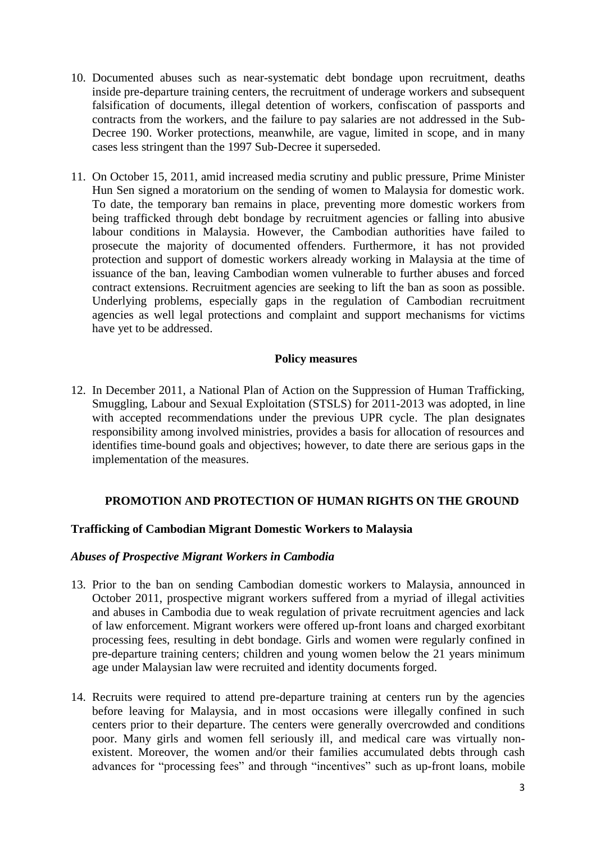- 10. Documented abuses such as near-systematic debt bondage upon recruitment, deaths inside pre-departure training centers, the recruitment of underage workers and subsequent falsification of documents, illegal detention of workers, confiscation of passports and contracts from the workers, and the failure to pay salaries are not addressed in the Sub-Decree 190. Worker protections, meanwhile, are vague, limited in scope, and in many cases less stringent than the 1997 Sub-Decree it superseded.
- 11. On October 15, 2011, amid increased media scrutiny and public pressure, Prime Minister Hun Sen signed a moratorium on the sending of women to Malaysia for domestic work. To date, the temporary ban remains in place, preventing more domestic workers from being trafficked through debt bondage by recruitment agencies or falling into abusive labour conditions in Malaysia. However, the Cambodian authorities have failed to prosecute the majority of documented offenders. Furthermore, it has not provided protection and support of domestic workers already working in Malaysia at the time of issuance of the ban, leaving Cambodian women vulnerable to further abuses and forced contract extensions. Recruitment agencies are seeking to lift the ban as soon as possible. Underlying problems, especially gaps in the regulation of Cambodian recruitment agencies as well legal protections and complaint and support mechanisms for victims have yet to be addressed.

### **Policy measures**

12. In December 2011, a National Plan of Action on the Suppression of Human Trafficking, Smuggling, Labour and Sexual Exploitation (STSLS) for 2011-2013 was adopted, in line with accepted recommendations under the previous UPR cycle. The plan designates responsibility among involved ministries, provides a basis for allocation of resources and identifies time-bound goals and objectives; however, to date there are serious gaps in the implementation of the measures.

### **PROMOTION AND PROTECTION OF HUMAN RIGHTS ON THE GROUND**

### **Trafficking of Cambodian Migrant Domestic Workers to Malaysia**

### *Abuses of Prospective Migrant Workers in Cambodia*

- 13. Prior to the ban on sending Cambodian domestic workers to Malaysia, announced in October 2011, prospective migrant workers suffered from a myriad of illegal activities and abuses in Cambodia due to weak regulation of private recruitment agencies and lack of law enforcement. Migrant workers were offered up-front loans and charged exorbitant processing fees, resulting in debt bondage. Girls and women were regularly confined in pre-departure training centers; children and young women below the 21 years minimum age under Malaysian law were recruited and identity documents forged.
- 14. Recruits were required to attend pre-departure training at centers run by the agencies before leaving for Malaysia, and in most occasions were illegally confined in such centers prior to their departure. The centers were generally overcrowded and conditions poor. Many girls and women fell seriously ill, and medical care was virtually nonexistent. Moreover, the women and/or their families accumulated debts through cash advances for "processing fees" and through "incentives" such as up-front loans, mobile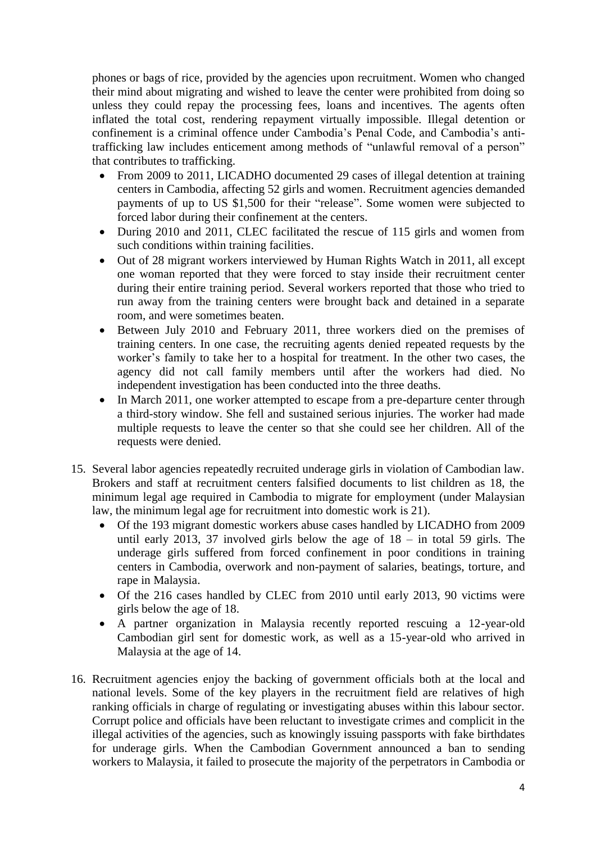phones or bags of rice, provided by the agencies upon recruitment. Women who changed their mind about migrating and wished to leave the center were prohibited from doing so unless they could repay the processing fees, loans and incentives. The agents often inflated the total cost, rendering repayment virtually impossible. Illegal detention or confinement is a criminal offence under Cambodia's Penal Code, and Cambodia's antitrafficking law includes enticement among methods of "unlawful removal of a person" that contributes to trafficking.

- From 2009 to 2011, LICADHO documented 29 cases of illegal detention at training centers in Cambodia, affecting 52 girls and women. Recruitment agencies demanded payments of up to US \$1,500 for their "release". Some women were subjected to forced labor during their confinement at the centers.
- During 2010 and 2011, CLEC facilitated the rescue of 115 girls and women from such conditions within training facilities.
- Out of 28 migrant workers interviewed by Human Rights Watch in 2011, all except one woman reported that they were forced to stay inside their recruitment center during their entire training period. Several workers reported that those who tried to run away from the training centers were brought back and detained in a separate room, and were sometimes beaten.
- Between July 2010 and February 2011, three workers died on the premises of training centers. In one case, the recruiting agents denied repeated requests by the worker's family to take her to a hospital for treatment. In the other two cases, the agency did not call family members until after the workers had died. No independent investigation has been conducted into the three deaths.
- In March 2011, one worker attempted to escape from a pre-departure center through a third-story window. She fell and sustained serious injuries. The worker had made multiple requests to leave the center so that she could see her children. All of the requests were denied.
- 15. Several labor agencies repeatedly recruited underage girls in violation of Cambodian law. Brokers and staff at recruitment centers falsified documents to list children as 18, the minimum legal age required in Cambodia to migrate for employment (under Malaysian law, the minimum legal age for recruitment into domestic work is 21).
	- Of the 193 migrant domestic workers abuse cases handled by LICADHO from 2009 until early 2013, 37 involved girls below the age of  $18 - in$  total 59 girls. The underage girls suffered from forced confinement in poor conditions in training centers in Cambodia, overwork and non-payment of salaries, beatings, torture, and rape in Malaysia.
	- Of the 216 cases handled by CLEC from 2010 until early 2013, 90 victims were girls below the age of 18.
	- A partner organization in Malaysia recently reported rescuing a 12-year-old Cambodian girl sent for domestic work, as well as a 15-year-old who arrived in Malaysia at the age of 14.
- 16. Recruitment agencies enjoy the backing of government officials both at the local and national levels. Some of the key players in the recruitment field are relatives of high ranking officials in charge of regulating or investigating abuses within this labour sector. Corrupt police and officials have been reluctant to investigate crimes and complicit in the illegal activities of the agencies, such as knowingly issuing passports with fake birthdates for underage girls. When the Cambodian Government announced a ban to sending workers to Malaysia, it failed to prosecute the majority of the perpetrators in Cambodia or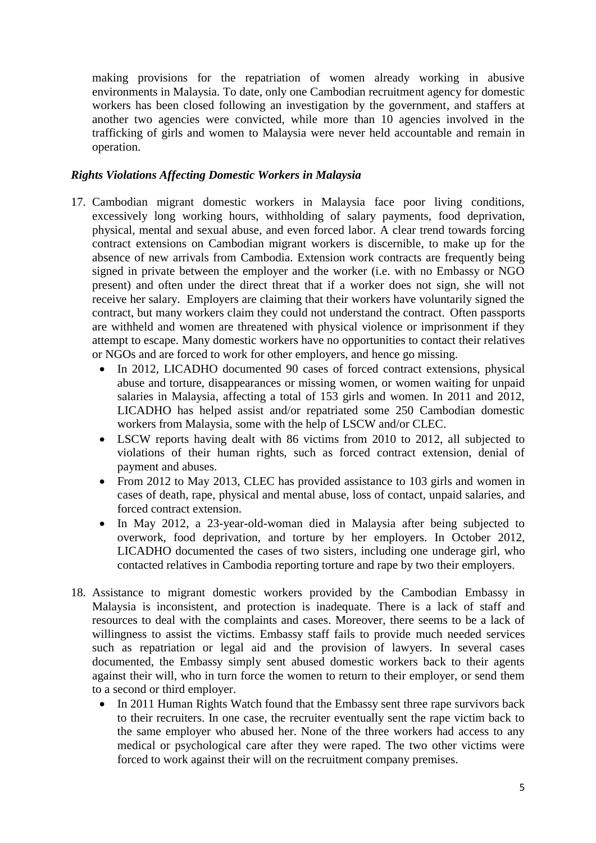making provisions for the repatriation of women already working in abusive environments in Malaysia. To date, only one Cambodian recruitment agency for domestic workers has been closed following an investigation by the government, and staffers at another two agencies were convicted, while more than 10 agencies involved in the trafficking of girls and women to Malaysia were never held accountable and remain in operation.

# *Rights Violations Affecting Domestic Workers in Malaysia*

- 17. Cambodian migrant domestic workers in Malaysia face poor living conditions, excessively long working hours, withholding of salary payments, food deprivation, physical, mental and sexual abuse, and even forced labor. A clear trend towards forcing contract extensions on Cambodian migrant workers is discernible, to make up for the absence of new arrivals from Cambodia. Extension work contracts are frequently being signed in private between the employer and the worker (i.e. with no Embassy or NGO present) and often under the direct threat that if a worker does not sign, she will not receive her salary. Employers are claiming that their workers have voluntarily signed the contract, but many workers claim they could not understand the contract. Often passports are withheld and women are threatened with physical violence or imprisonment if they attempt to escape. Many domestic workers have no opportunities to contact their relatives or NGOs and are forced to work for other employers, and hence go missing.
	- In 2012, LICADHO documented 90 cases of forced contract extensions, physical abuse and torture, disappearances or missing women, or women waiting for unpaid salaries in Malaysia, affecting a total of 153 girls and women. In 2011 and 2012, LICADHO has helped assist and/or repatriated some 250 Cambodian domestic workers from Malaysia, some with the help of LSCW and/or CLEC.
	- LSCW reports having dealt with 86 victims from 2010 to 2012, all subjected to violations of their human rights, such as forced contract extension, denial of payment and abuses.
	- From 2012 to May 2013, CLEC has provided assistance to 103 girls and women in cases of death, rape, physical and mental abuse, loss of contact, unpaid salaries, and forced contract extension.
	- In May 2012, a 23-year-old-woman died in Malaysia after being subjected to overwork, food deprivation, and torture by her employers. In October 2012, LICADHO documented the cases of two sisters, including one underage girl, who contacted relatives in Cambodia reporting torture and rape by two their employers.
- 18. Assistance to migrant domestic workers provided by the Cambodian Embassy in Malaysia is inconsistent, and protection is inadequate. There is a lack of staff and resources to deal with the complaints and cases. Moreover, there seems to be a lack of willingness to assist the victims. Embassy staff fails to provide much needed services such as repatriation or legal aid and the provision of lawyers. In several cases documented, the Embassy simply sent abused domestic workers back to their agents against their will, who in turn force the women to return to their employer, or send them to a second or third employer.
	- In 2011 Human Rights Watch found that the Embassy sent three rape survivors back to their recruiters. In one case, the recruiter eventually sent the rape victim back to the same employer who abused her. None of the three workers had access to any medical or psychological care after they were raped. The two other victims were forced to work against their will on the recruitment company premises.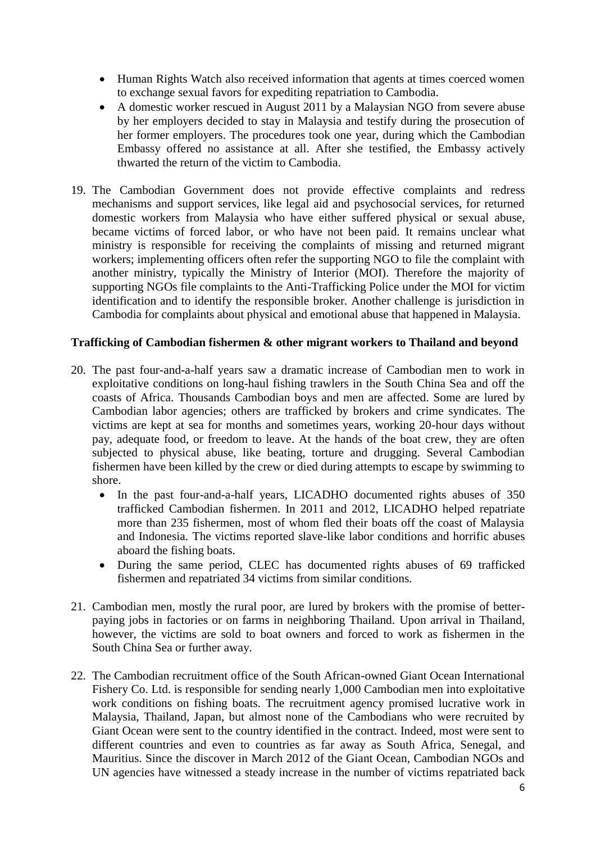- Human Rights Watch also received information that agents at times coerced women to exchange sexual favors for expediting repatriation to Cambodia.
- A domestic worker rescued in August 2011 by a Malaysian NGO from severe abuse by her employers decided to stay in Malaysia and testify during the prosecution of her former employers. The procedures took one year, during which the Cambodian Embassy offered no assistance at all. After she testified, the Embassy actively thwarted the return of the victim to Cambodia.
- 19. The Cambodian Government does not provide effective complaints and redress mechanisms and support services, like legal aid and psychosocial services, for returned domestic workers from Malaysia who have either suffered physical or sexual abuse, became victims of forced labor, or who have not been paid. It remains unclear what ministry is responsible for receiving the complaints of missing and returned migrant workers; implementing officers often refer the supporting NGO to file the complaint with another ministry, typically the Ministry of Interior (MOI). Therefore the majority of supporting NGOs file complaints to the Anti-Trafficking Police under the MOI for victim identification and to identify the responsible broker. Another challenge is jurisdiction in Cambodia for complaints about physical and emotional abuse that happened in Malaysia.

## **Trafficking of Cambodian fishermen & other migrant workers to Thailand and beyond**

- 20. The past four-and-a-half years saw a dramatic increase of Cambodian men to work in exploitative conditions on long-haul fishing trawlers in the South China Sea and off the coasts of Africa. Thousands Cambodian boys and men are affected. Some are lured by Cambodian labor agencies; others are trafficked by brokers and crime syndicates. The victims are kept at sea for months and sometimes years, working 20-hour days without pay, adequate food, or freedom to leave. At the hands of the boat crew, they are often subjected to physical abuse, like beating, torture and drugging. Several Cambodian fishermen have been killed by the crew or died during attempts to escape by swimming to shore.
	- In the past four-and-a-half years, LICADHO documented rights abuses of 350 trafficked Cambodian fishermen. In 2011 and 2012, LICADHO helped repatriate more than 235 fishermen, most of whom fled their boats off the coast of Malaysia and Indonesia. The victims reported slave-like labor conditions and horrific abuses aboard the fishing boats.
	- During the same period, CLEC has documented rights abuses of 69 trafficked fishermen and repatriated 34 victims from similar conditions.
- 21. Cambodian men, mostly the rural poor, are lured by brokers with the promise of betterpaying jobs in factories or on farms in neighboring Thailand. Upon arrival in Thailand, however, the victims are sold to boat owners and forced to work as fishermen in the South China Sea or further away.
- 22. The Cambodian recruitment office of the South African-owned Giant Ocean International Fishery Co. Ltd. is responsible for sending nearly 1,000 Cambodian men into exploitative work conditions on fishing boats. The recruitment agency promised lucrative work in Malaysia, Thailand, Japan, but almost none of the Cambodians who were recruited by Giant Ocean were sent to the country identified in the contract. Indeed, most were sent to different countries and even to countries as far away as South Africa, Senegal, and Mauritius. Since the discover in March 2012 of the Giant Ocean, Cambodian NGOs and UN agencies have witnessed a steady increase in the number of victims repatriated back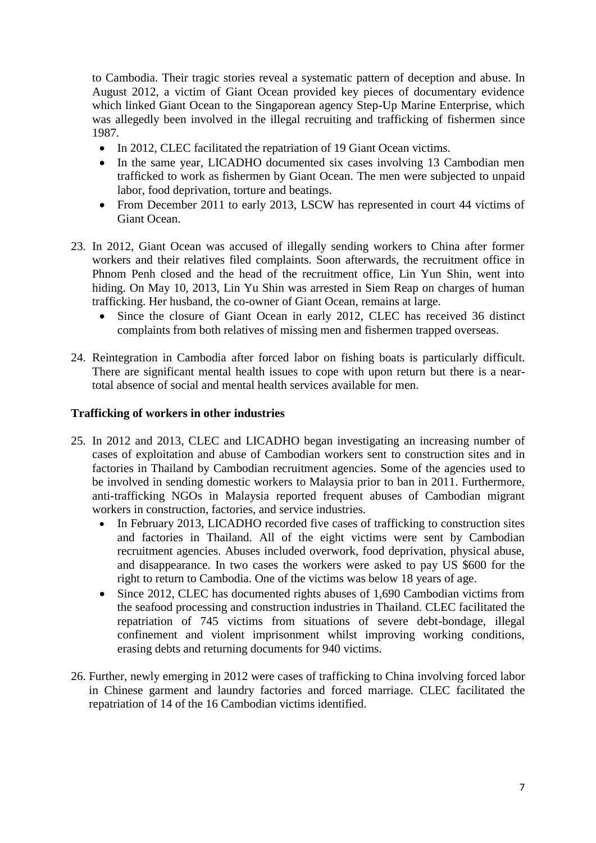to Cambodia. Their tragic stories reveal a systematic pattern of deception and abuse. In August 2012, a victim of Giant Ocean provided key pieces of documentary evidence which linked Giant Ocean to the Singaporean agency Step-Up Marine Enterprise, which was allegedly been involved in the illegal recruiting and trafficking of fishermen since 1987.

- In 2012, CLEC facilitated the repatriation of 19 Giant Ocean victims.
- In the same year, LICADHO documented six cases involving 13 Cambodian men trafficked to work as fishermen by Giant Ocean. The men were subjected to unpaid labor, food deprivation, torture and beatings.
- From December 2011 to early 2013, LSCW has represented in court 44 victims of Giant Ocean.
- 23. In 2012, Giant Ocean was accused of illegally sending workers to China after former workers and their relatives filed complaints. Soon afterwards, the recruitment office in Phnom Penh closed and the head of the recruitment office, Lin Yun Shin, went into hiding. On May 10, 2013, Lin Yu Shin was arrested in Siem Reap on charges of human trafficking. Her husband, the co-owner of Giant Ocean, remains at large.
	- Since the closure of Giant Ocean in early 2012, CLEC has received 36 distinct complaints from both relatives of missing men and fishermen trapped overseas.
- 24. Reintegration in Cambodia after forced labor on fishing boats is particularly difficult. There are significant mental health issues to cope with upon return but there is a neartotal absence of social and mental health services available for men.

#### **Trafficking of workers in other industries**

- 25. In 2012 and 2013, CLEC and LICADHO began investigating an increasing number of cases of exploitation and abuse of Cambodian workers sent to construction sites and in factories in Thailand by Cambodian recruitment agencies. Some of the agencies used to be involved in sending domestic workers to Malaysia prior to ban in 2011. Furthermore, anti-trafficking NGOs in Malaysia reported frequent abuses of Cambodian migrant workers in construction, factories, and service industries.
	- In February 2013, LICADHO recorded five cases of trafficking to construction sites and factories in Thailand. All of the eight victims were sent by Cambodian recruitment agencies. Abuses included overwork, food deprivation, physical abuse, and disappearance. In two cases the workers were asked to pay US \$600 for the right to return to Cambodia. One of the victims was below 18 years of age.
	- Since 2012, CLEC has documented rights abuses of 1,690 Cambodian victims from the seafood processing and construction industries in Thailand. CLEC facilitated the repatriation of 745 victims from situations of severe debt-bondage, illegal confinement and violent imprisonment whilst improving working conditions, erasing debts and returning documents for 940 victims.
- 26. Further, newly emerging in 2012 were cases of trafficking to China involving forced labor in Chinese garment and laundry factories and forced marriage. CLEC facilitated the repatriation of 14 of the 16 Cambodian victims identified.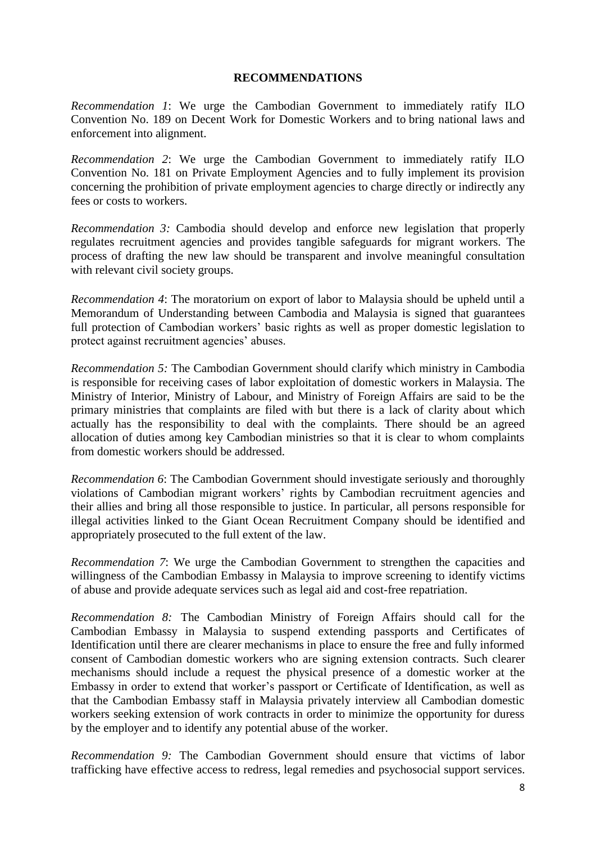#### **RECOMMENDATIONS**

*Recommendation 1*: We urge the Cambodian Government to immediately ratify ILO Convention No. 189 on Decent Work for Domestic Workers and to bring national laws and enforcement into alignment.

*Recommendation 2*: We urge the Cambodian Government to immediately ratify ILO Convention No. 181 on Private Employment Agencies and to fully implement its provision concerning the prohibition of private employment agencies to charge directly or indirectly any fees or costs to workers.

*Recommendation 3:* Cambodia should develop and enforce new legislation that properly regulates recruitment agencies and provides tangible safeguards for migrant workers. The process of drafting the new law should be transparent and involve meaningful consultation with relevant civil society groups.

*Recommendation 4*: The moratorium on export of labor to Malaysia should be upheld until a Memorandum of Understanding between Cambodia and Malaysia is signed that guarantees full protection of Cambodian workers' basic rights as well as proper domestic legislation to protect against recruitment agencies' abuses.

*Recommendation 5:* The Cambodian Government should clarify which ministry in Cambodia is responsible for receiving cases of labor exploitation of domestic workers in Malaysia. The Ministry of Interior, Ministry of Labour, and Ministry of Foreign Affairs are said to be the primary ministries that complaints are filed with but there is a lack of clarity about which actually has the responsibility to deal with the complaints. There should be an agreed allocation of duties among key Cambodian ministries so that it is clear to whom complaints from domestic workers should be addressed.

*Recommendation 6*: The Cambodian Government should investigate seriously and thoroughly violations of Cambodian migrant workers' rights by Cambodian recruitment agencies and their allies and bring all those responsible to justice. In particular, all persons responsible for illegal activities linked to the Giant Ocean Recruitment Company should be identified and appropriately prosecuted to the full extent of the law.

*Recommendation 7*: We urge the Cambodian Government to strengthen the capacities and willingness of the Cambodian Embassy in Malaysia to improve screening to identify victims of abuse and provide adequate services such as legal aid and cost-free repatriation.

*Recommendation 8:* The Cambodian Ministry of Foreign Affairs should call for the Cambodian Embassy in Malaysia to suspend extending passports and Certificates of Identification until there are clearer mechanisms in place to ensure the free and fully informed consent of Cambodian domestic workers who are signing extension contracts. Such clearer mechanisms should include a request the physical presence of a domestic worker at the Embassy in order to extend that worker's passport or Certificate of Identification, as well as that the Cambodian Embassy staff in Malaysia privately interview all Cambodian domestic workers seeking extension of work contracts in order to minimize the opportunity for duress by the employer and to identify any potential abuse of the worker.

*Recommendation 9:* The Cambodian Government should ensure that victims of labor trafficking have effective access to redress, legal remedies and psychosocial support services.